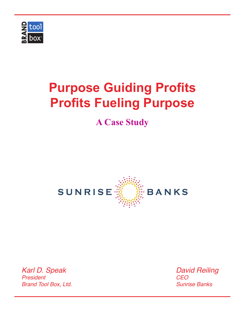

## **A Case Study**



*Karl D. Speak President Brand Tool Box, Ltd.* *David Reiling CEO Sunrise Banks*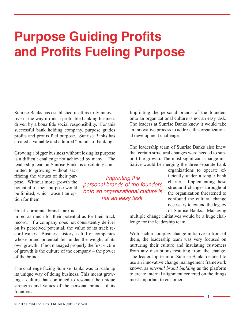Sunrise Banks has established itself as truly innovative in the way it runs a profitable banking business driven by a bona fide social responsibility. For this successful bank holding company, purpose guides profits and profits fuel purpose. Sunrise Banks has created a valuable and admired "brand" of banking.

Growing a bigger business without losing its purpose is a difficult challenge not achieved by many. The leadership team at Sunrise Banks is absolutely com-

mitted to growing without sacrificing the virtues of their purpose. Without more growth the potential of their purpose would be limited, which wasn't an option for them.

#### Great corporate brands are ad-

mired as much for their potential as for their track record. If a company does not consistently deliver on its perceived potential, the value of its track record wanes. Business history is full of companies whose brand potential fell under the weight of its own growth. If not managed properly the first victim of growth is the culture of the company – the power of the brand.

The challenge facing Sunrise Banks was to scale up its unique way of doing business. This meant growing a culture that continued to resonate the unique strengths and values of the personal brands of its founders.

Imprinting the personal brands of the founders onto an organizational culture is not an easy task. The leaders at Sunrise Banks knew it would take an innovative process to address this organizational development challenge.

The leadership team of Sunrise Banks also knew that certain structural changes were needed to support the growth. The most significant change initiative would be merging the three separate bank

*Imprinting the personal brands of the founders onto an organizational culture is not an easy task.* 

organizations to operate efficiently under a single bank charter. Implementing these structural changes throughout the organization threatened to confound the cultural change necessary to extend the legacy of Sunrise Banks. Managing

multiple change initiatives would be a huge challenge for the leadership team.

With such a complex change initiative in front of them, the leadership team was very focused on nurturing their culture and insulating customers from any disruptions resulting from the change. The leadership team at Sunrise Banks decided to use an innovative change management framework known as *internal brand building* as the platform to create internal alignment centered on the things most important to customers.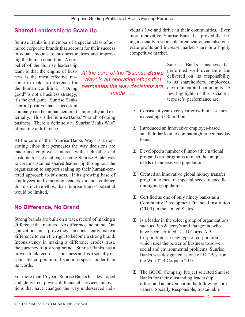*made . . .*

### **Shared Leadership to Scale Up**

Sunrise Banks is a member of a special class of admired corporate brands that account for their success in equal amounts of business metrics and improv-

ing the human condition. A core belief of the Sunrise leadership team is that the engine of business is the most effective machine to make a difference for the human condition. "Doing good" is not a business strategy; it's the end game. Sunrise Banks is proof positive that a successful

company can be human centered – internally and externally. This is the Sunrise Banks' "brand" of doing business. There is definitely a "Sunrise Banks Way" of making a difference.

At the core of the "Sunrise Banks Way" is an operating ethos that permeates the way decisions are made and employees interact with each other and customers. The challenge facing Sunrise Banks was to create sustained shared leadership throughout the organization to support scaling up their human-centered approach to business. If its growing base of employees and emerging leaders did not embrace this distinctive ethos, than Sunrise Banks' potential would be limited.

#### **No Difference, No Brand**

Strong brands are built on a track record of making a difference that matters. No difference, no brand. Organizations must prove they can consistently make a difference to earn the right to become a strong brand. Inconsistency in making a difference erodes trust, the currency of a strong brand. Sunrise Banks has a proven track record as a business and as a socially responsible corporation. Its actions speak louder than its words.

For more than 15 years Sunrise Banks has developed and delivered powerful financial services innovations that have changed the way underserved individuals live and thrive in their communities. Even more innovative, Sunrise Banks has proved that being a socially responsible organization can also generate profits and increase market share in a highly competitive market.

Sunrise Banks' business has performed well over time and delivered on its responsibility to its shareholders, employees, environment and community. A few highlights of this social enterprise's performance are: *At the core of the "Sunrise Banks Way" is an operating ethos that permeates the way decisions are* 

- $\Box$  Consistent year-over-year growth in asset size exceeding \$750 million.
- Introduced an innovative employer-based small dollar loan to combat high priced payday loans.
- $\Box$  Developed a number of innovative national pre-paid card programs to meet the unique needs of underserved populations.
- $\Box$  Created an innovative global money transfer program to meet the special needs of specific immigrant populations.
- $\Box$  Certified as one of only ninety banks as a Community Development Financial Institution (CDFI) in the United States.
- $\Box$  Is a leader in the select group of organizations, such as Ben & Jerry's and Patagonia, who have been certified as a B Corps. A B Corporation is a new type of corporation which uses the power of business to solve social and environmental problems. Sunrise Banks was designated as one of 12 "Best for the World" B Corps in 2013.
- □ The GOOD Company Project selected Sunrise Banks for their outstanding leadership, effort, and achievement in the following core values: Socially Responsible, Sustainable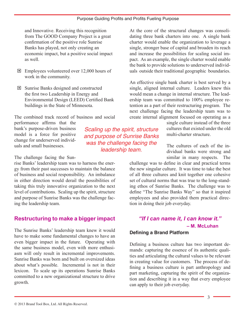and Innovative. Receiving this recognition from The GOOD Company Project is a great confirmation of the positive role Sunrise Banks has played, not only creating an economic impact, but a positive social impact as well.

- **Employees volunteered over 12,000 hours of** work in the community.
- Sunrise Banks designed and constructed the first two Leadership in Energy and Environmental Design (LEED) Certified Bank buildings in the State of Minnesota.

The combined track record of business and social

performance affirms that the bank's purpose-driven business model is a force for positive change for underserved individuals and small businesses.

The challenge facing the Sun-

rise Banks' leadership team was to harness the energy from their past successes to maintain the balance of business and social responsibility. An imbalance in either direction would derail the possibilities of taking this truly innovative organization to the next level of contributions. Scaling up the spirit, structure and purpose of Sunrise Banks was the challenge facing the leadership team.

## **Restructuring to make a bigger impact**

The Sunrise Banks' leadership team knew it would have to make some fundamental changes to have an even bigger impact in the future. Operating with the same business model, even with more enthusiasm will only result in incremental improvements. Sunrise Banks was born and built on oversized ideas about what's possible. Incremental is not in their lexicon. To scale up its operations Sunrise Banks committed to a new organizational structure to drive growth.

*Scaling up the spirit, structure and purpose of Sunrise Banks was the challenge facing the leadership team.*

At the core of the structural changes was consolidating three bank charters into one. A single bank charter would enable the organization to leverage a single, stronger base of capital and broaden its reach and increase the possibilities for scaling social impact. As an example, the single charter would enable the bank to provide solutions to underserved individuals outside their traditional geographic boundaries.

An effective single bank charter is best served by a single, aligned internal culture. Leaders knew this would mean a change in internal structure. The leadership team was committed to 100% employee retention as a part of their restructuring program. The next challenge facing the leadership team was to create internal alignment focused on operating as a

> single culture instead of the three cultures that existed under the old multi-charter structure.

> The cultures of each of the individual banks were strong and similar in many respects. The

challenge was to define in clear and practical terms the new singular culture. It was time to take the best of all three cultures and knit together one cohesive set of cultural norms that was true to the long-standing ethos of Sunrise Banks. The challenge was to define "The Sunrise Banks Way" so that it inspired employees and also provided them practical direction in doing their job everyday.

## *"If I can name it, I can know it."*  **– M. McLuhan**

#### **Defining a Brand Platform**

Defining a business culture has two important demands: capturing the essence of its authentic qualities and articulating the cultural values to be relevant in creating value for customers. The process of defining a business culture is part anthropology and part marketing, capturing the spirit of the organization and describing it in a way that every employee can apply to their job everyday.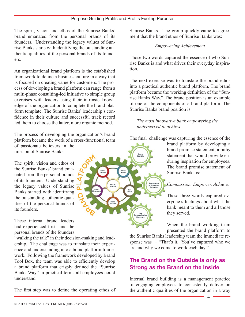**BRAND**<br>ETHOS

The spirit, vision and ethos of the Sunrise Banks' brand emanated from the personal brands of its founders. Understanding the legacy values of Sunrise Banks starts with identifying the outstanding authentic qualities of the personal brands of its founders.

An organizational brand platform is the established framework to define a business culture in a way that is focused on creating value for customers. The process of developing a brand platform can range from a multi-phase consulting-led initiative to simple group exercises with leaders using their intrinsic knowledge of the organization to complete the brand platform template. The Sunrise Banks' leadership's confidence in their culture and successful track record led them to choose the latter, more organic method.

The process of developing the organization's brand platform became the work of a cross-functional team of passionate believers in the mission of Sunrise Banks.

The spirit, vision and ethos of the Sunrise Banks' brand emanated from the personal brands of its founders. Understanding the legacy values of Sunrise Banks started with identifying the outstanding authentic qualities of the personal brands of its founders.

These internal brand leaders had experienced first hand the personal brands of the founders

"walking the talk" in their decision-making and leadership. The challenge was to translate their experience and understanding into a brand platform framework. Following the framework developed by Brand Tool Box, the team was able to efficiently develop a brand platform that crisply defined the "Sunrise Banks Way" in practical terms all employees could understand.

The first step was to define the operating ethos of

Sunrise Banks. The group quickly came to agreement that the brand ethos of Sunrise Banks was:

#### *Empowering Achievement*

Those two words captured the essence of who Sunrise Banks is and what drives their everyday inspiration.

The next exercise was to translate the brand ethos into a practical authentic brand platform. The brand platform became the working definition of the "Sunrise Banks Way." The brand position is an example of one of the components of a brand platform. The Sunrise Banks brand position is:

*The most innovative bank empowering the underserved to achieve.* 

The final challenge was capturing the essence of the

brand platform by developing a brand promise statement, a pithy statement that would provide enduring inspiration for employees. The brand promise statement of Sunrise Banks is:

#### *Compassion. Empower. Achieve.*

These three words captured everyone's feelings about what the bank meant to them and all those they served.

When the brand working team presented the brand platform to

the Sunrise Banks leadership team the immediate response was – "That's it. You've captured who we are and why we come to work each day."

## **The Brand on the Outside is only as Strong as the Brand on the Inside**

Internal brand building is a management practice of engaging employees to consistently deliver on the authentic qualities of the organization in a way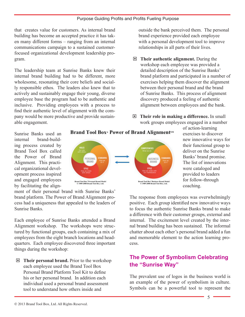that creates value for customers. As internal brand building has become an accepted practice it has taken many different forms – ranging from an internal communications campaign to a sustained customerfocused organizational development leadership program.

The leadership team at Sunrise Banks knew their internal brand building had to be different, more wholesome, resonating their core beliefs and socially responsible ethos. The leaders also knew that to actively and sustainably engage their young, diverse employee base the program had to be authentic and inclusive. Providing employees with a process to find their authentic level of alignment with the company would be more productive and provide sustainable engagement.

outside the bank perceived them. The personal brand experience provided each employee with a personal development tool to improve relationships in all parts of their lives.

- **Their authentic alignment.** During the workshop each employee was provided a detailed description of the Sunrise Banks' brand platform and participated in a number of exercises helping them discover the alignment between their personal brand and the brand of Sunrise Banks. This process of alignment discovery produced a feeling of authentic alignment between employees and the bank.
- **Their role in making a difference.** In small work groups employees engaged in a number

Sunrise Banks used an internal brand-building process created by



of action-learning exercises to discover new innovative ways for their functional group to deliver on the Sunrise Banks' brand promise. The list of innovations were cataloged and provided to leaders for follow-through coaching.

Brand Tool Box called the Power of Brand Alignment. This practical organizational development process inspired and engaged employees by facilitating the align-

ment of their personal brand with Sunrise Banks' brand platform. The Power of Brand Alignment process had a uniqueness that appealed to the leaders of Sunrise Banks.

Each employee of Sunrise Banks attended a Brand Alignment workshop. The workshops were structured by functional groups, each containing a mix of employees from the eight branch locations and headquarters. Each employee discovered three important things during the workshop:

 **Their personal brand.** Prior to the workshop each employee used the Brand Tool Box Personal Brand Platform Tool Kit to define his or her personal brand. In addition each individual used a personal brand assessment tool to understand how others inside and

The response from employees was overwhelmingly positive. Each group identified new innovative ways to focus the authentic Sunrise Banks brand to make a difference with their customer groups, external and internal. The excitement level created by the internal brand building has been sustained. The informal chatter about each other's personal brand added a fun and memorable element to the action learning process.

## **The Power of Symbolism Celebrating the "Sunrise Way"**

The prevalent use of logos in the business world is an example of the power of symbolism in culture. Symbols can be a powerful tool to represent the

### **Brand Tool Box**<sup>®</sup> Power of Brand Alignment<sup>sM</sup>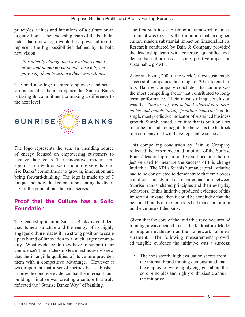principles, values and intentions of a culture or an organization. The leadership team of the bank decided that a new logo would be a powerful tool to represent the big possibilities defined by its bold new vision –

*To radically change the way urban communities and underserved people thrive by empowering them to achieve their aspirations.*

The bold new logo inspired employees and sent a strong signal to the marketplace that Sunrise Banks is taking its commitment to making a difference to the next level.



The logo represents the sun, an unending source of energy focused on empowering customers to achieve their goals. The innovative, modern image of a sun with outward motion represents Sunrise Banks' commitment to growth, innovation and being forward-thinking. The logo is made up of 7 unique and individual colors, representing the diversity of the populations the bank serves.

## **Proof that the Culture has a Solid Foundation**

The leadership team at Sunrise Banks is confident that its new structure and the energy of its highly engaged culture places it in a strong position to scale up its brand of innovation to a much larger community. What evidence do they have to support their confidence? The leadership team instinctively knew that the intangible qualities of its culture provided them with a competitive advantage. However it was important that a set of metrics be established to provide concrete evidence that the internal brand building initiative was creating a culture that truly reflected the "Sunrise Banks Way" of banking.

The first step in establishing a framework of measurement was to verify their intuition that an aligned culture made a substantial impact on financial KPI's. Research conducted by Bain & Company provided the leadership team with concrete, quantified evidence that culture has a lasting, positive impact on sustainable growth.

After analyzing 200 of the world's most sustainably successful companies on a range of 30 different factors, Bain & Company concluded that culture was the most compelling factor that contributed to longterm performance. Their most striking conclusion was that *"the use of well-defined, shared core principles and beliefs linking frontline behavior"* is the single most predictive indicator of sustained business growth. Simply stated, a culture that is built on a set of authentic and nonnegotiable beliefs is the bedrock of a company that will have repeatable success.

This compelling conclusion by Bain & Company reflected the experience and intuition of the Sunrise Banks' leadership team and would become the objective used to measure the success of this change initiative. The KPI's for this human capital initiative had to be constructed to demonstrate that employees could consciously make a clear connection between Sunrise Banks' shared principles and their everyday behaviors. If this initiative produced evidence of this important linkage, then it could be concluded that the personal brands of the founders had made an imprint on the culture of the bank.

Given that the core of the initiative revolved around training, it was decided to use the Kirkpatrick Model of program evaluation as the framework for measurement. The following measurements provided tangible evidence the initiative was a success:

 $\Box$  The consistently high evaluation scores from the internal brand training demonstrated that the employees were highly engaged about the core principles and highly enthusiastic about the initiative.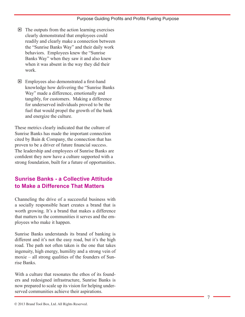- $\Box$  The outputs from the action learning exercises clearly demonstrated that employees could readily and clearly make a connection between the "Sunrise Banks Way" and their daily work behaviors. Employees knew the "Sunrise Banks Way" when they saw it and also knew when it was absent in the way they did their work.
- Employees also demonstrated a first-hand knowledge how delivering the "Sunrise Banks Way" made a difference, emotionally and tangibly, for customers. Making a difference for underserved individuals proved to be the fuel that would propel the growth of the bank and energize the culture.

These metrics clearly indicated that the culture of Sunrise Banks has made the important connection cited by Bain & Company, the connection that has proven to be a driver of future financial success. The leadership and employees of Sunrise Banks are confident they now have a culture supported with a strong foundation, built for a future of opportunities.

## **Sunrise Banks - a Collective Attitude to Make a Difference That Matters**

Channeling the drive of a successful business with a socially responsible heart creates a brand that is worth growing. It's a brand that makes a difference that matters to the communities it serves and the em ployees who make it happen.

Sunrise Banks understands its brand of banking is different and it's not the easy road, but it's the high road. The path not often taken is the one that takes ingenuity, high energy, humility and a strong vein of moxie – all strong qualities of the founders of Sun rise Banks.

With a culture that resonates the ethos of its founders and redesigned infrastructure, Sunrise Banks is now prepared to scale up its vision for helping under served communities achieve their aspirations.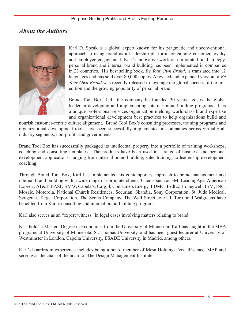## *About the Authors*



Karl D. Speak is a global expert known for his pragmatic and unconventional approach to using brand as a leadership platform for gaining customer loyalty and employee engagement. Karl's innovative work on corporate brand strategy, personal brand and internal brand building has been implemented in companies in 23 countries. His best selling book, *Be Your Own Brand*, is translated into 12 languages and has sold over 80,000 copies. A revised and expanded version of *Be Your Own Brand* was recently released to leverage the global success of the first edition and the growing popularity of personal brand.

Brand Tool Box, Ltd., the company he founded 30 years ago, is the global leader in developing and implementing internal brand-building programs. It is a unique professional services organization melding world-class brand expertise and organizational development best practices to help organizations build and

nourish customer-centric culture alignment. Brand Tool Box's consulting processes, training programs and organizational development tools have been successfully implemented in companies across virtually all industry segments, non-profits and governments.

Brand Tool Box has successfully packaged its intellectual property into a portfolio of training workshops, coaching and consulting templates. The products have been used in a range of business and personal development applications, ranging from internal brand building, sales training, to leadership-development coaching.

Through Brand Tool Box, Karl has implemented his contemporary approach to brand management and internal brand building with a wide range of corporate clients. Clients such as 3M, LeadingAge, American Express, AT&T, BASF, BMW, Cabela's, Cargill, Consumers Energy, EDMC, FedEx, Honeywell, IBM, ING, Mosaic, Motorola, National Church Residences, Securian, Skandia, Sony Corporation, St. Jude Medical, Syngenta, Target Corporation, The Scotts Company, The Wall Street Journal, Toro, and Walgreens have benefited from Karl's consulting and internal brand-building programs.

Karl also serves as an "expert witness" in legal cases involving matters relating to brand.

Karl holds a Masters Degree in Economics from the University of Minnesota. Karl has taught in the MBA programs at University of Minnesota, St. Thomas University, and has been guest lecturer at University of Westminster in London, Capella University, ESADE University in Madrid, among others.

Karl's boardroom experience includes being a board member of Mesa Holdings, VocalEssence, MAP and serving as the chair of the board of The Design Management Institute.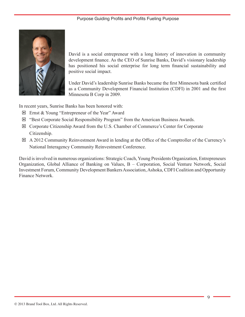

David is a social entrepreneur with a long history of innovation in community development finance. As the CEO of Sunrise Banks, David's visionary leadership has positioned his social enterprise for long term financial sustainability and positive social impact.

Under David's leadership Sunrise Banks became the first Minnesota bank certified as a Community Development Financial Institution (CDFI) in 2001 and the first Minnesota B Corp in 2009.

In recent years, Sunrise Banks has been honored with:

- Ernst & Young "Entrepreneur of the Year" Award
- "Best Corporate Social Responsibility Program" from the American Business Awards.
- Corporate Citizenship Award from the U.S. Chamber of Commerce's Center for Corporate Citizenship.
- A 2012 Community Reinvestment Award in lending at the Office of the Comptroller of the Currency's National Interagency Community Reinvestment Conference.

David is involved in numerous organizations: Strategic Coach, Young Presidents Organization, Entrepreneurs Organization, Global Alliance of Banking on Values, B – Corporation, Social Venture Network, Social Investment Forum, Community Development Bankers Association, Ashoka, CDFI Coalition and Opportunity Finance Network.